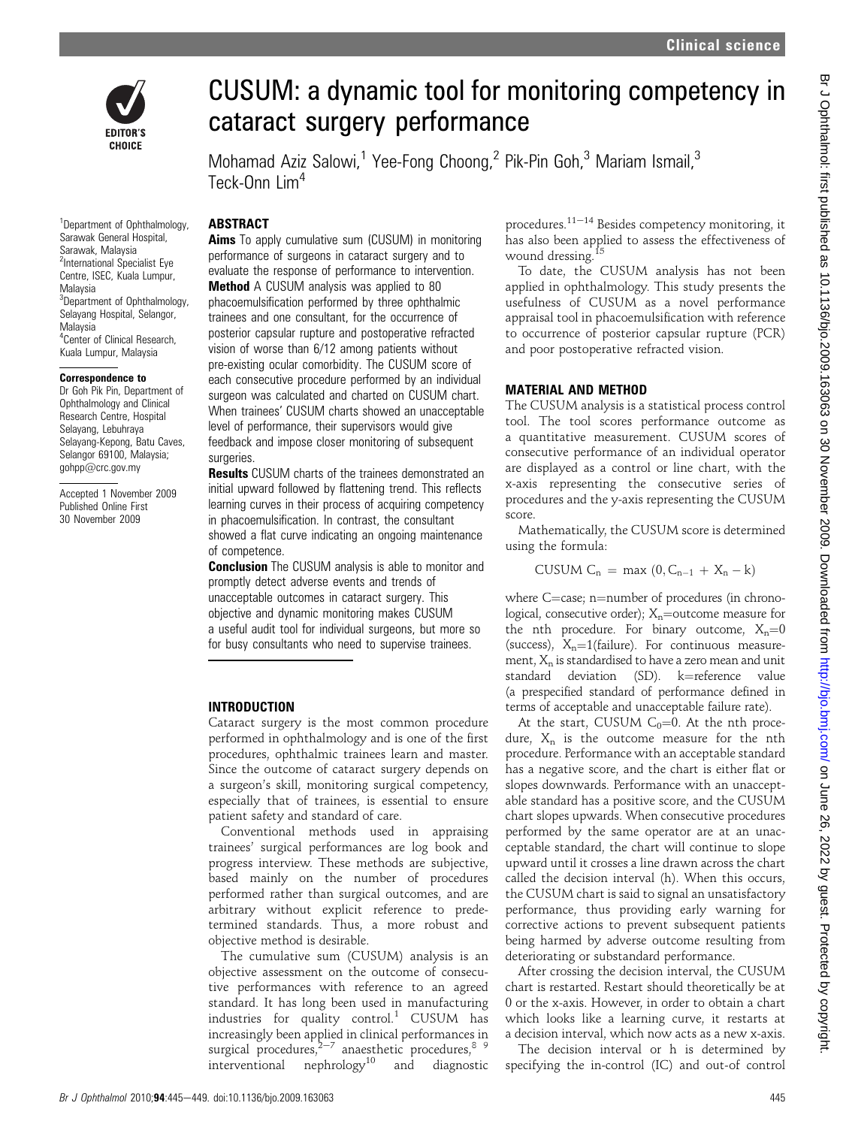

# CUSUM: a dynamic tool for monitoring competency in cataract surgery performance

Mohamad Aziz Salowi,<sup>1</sup> Yee-Fong Choong,<sup>2</sup> Pik-Pin Goh,<sup>3</sup> Mariam Ismail,<sup>3</sup> Teck-Onn Lim<sup>4</sup>

# ABSTRACT

<sup>1</sup>Department of Ophthalmology, Sarawak General Hospital, Sarawak, Malaysia <sup>2</sup>International Specialist Eye Centre, ISEC, Kuala Lumpur, Malaysia <sup>3</sup>Department of Ophthalmology, Selayang Hospital, Selangor, Malaysia 4 Center of Clinical Research, Kuala Lumpur, Malaysia

## Correspondence to

Dr Goh Pik Pin, Department of Ophthalmology and Clinical Research Centre, Hospital Selayang, Lebuhraya Selayang-Kepong, Batu Caves, Selangor 69100, Malaysia; gohpp@crc.gov.my

Accepted 1 November 2009 Published Online First 30 November 2009

## **Aims** To apply cumulative sum (CUSUM) in monitoring performance of surgeons in cataract surgery and to evaluate the response of performance to intervention. Method A CUSUM analysis was applied to 80 phacoemulsification performed by three ophthalmic trainees and one consultant, for the occurrence of posterior capsular rupture and postoperative refracted vision of worse than 6/12 among patients without pre-existing ocular comorbidity. The CUSUM score of each consecutive procedure performed by an individual surgeon was calculated and charted on CUSUM chart. When trainees' CUSUM charts showed an unacceptable level of performance, their supervisors would give feedback and impose closer monitoring of subsequent surgeries.

**Results** CUSUM charts of the trainees demonstrated an initial upward followed by flattening trend. This reflects learning curves in their process of acquiring competency in phacoemulsification. In contrast, the consultant showed a flat curve indicating an ongoing maintenance of competence.

**Conclusion** The CUSUM analysis is able to monitor and promptly detect adverse events and trends of unacceptable outcomes in cataract surgery. This objective and dynamic monitoring makes CUSUM a useful audit tool for individual surgeons, but more so for busy consultants who need to supervise trainees.

# INTRODUCTION

Cataract surgery is the most common procedure performed in ophthalmology and is one of the first procedures, ophthalmic trainees learn and master. Since the outcome of cataract surgery depends on a surgeon's skill, monitoring surgical competency, especially that of trainees, is essential to ensure patient safety and standard of care.

Conventional methods used in appraising trainees' surgical performances are log book and progress interview. These methods are subjective, based mainly on the number of procedures performed rather than surgical outcomes, and are arbitrary without explicit reference to predetermined standards. Thus, a more robust and objective method is desirable.

The cumulative sum (CUSUM) analysis is an objective assessment on the outcome of consecutive performances with reference to an agreed standard. It has long been used in manufacturing industries for quality control.<sup>1</sup> CUSUM has increasingly been applied in clinical performances in surgical procedures, $2^{-7}$  anaesthetic procedures,  $8\frac{9}{2}$  $interventional$  nephrology<sup>10</sup> and diagnostic procedures. $11-14$  Besides competency monitoring, it has also been applied to assess the effectiveness of wound dressing.

To date, the CUSUM analysis has not been applied in ophthalmology. This study presents the usefulness of CUSUM as a novel performance appraisal tool in phacoemulsification with reference to occurrence of posterior capsular rupture (PCR) and poor postoperative refracted vision.

# MATERIAL AND METHOD

The CUSUM analysis is a statistical process control tool. The tool scores performance outcome as a quantitative measurement. CUSUM scores of consecutive performance of an individual operator are displayed as a control or line chart, with the x-axis representing the consecutive series of procedures and the y-axis representing the CUSUM score.

Mathematically, the CUSUM score is determined using the formula:

$$
CUSUM\ C_n\,=\,max\,(0,C_{n-1}\,+\,X_n-k)
$$

where C=case; n=number of procedures (in chronological, consecutive order);  $X_n=$  outcome measure for the nth procedure. For binary outcome,  $X_n=0$ (success),  $X_n=1$ (failure). For continuous measurement,  $X_n$  is standardised to have a zero mean and unit standard deviation  $(SD)$ . k=reference value (a prespecified standard of performance defined in terms of acceptable and unacceptable failure rate).

At the start, CUSUM  $C_0=0$ . At the nth procedure,  $X_n$  is the outcome measure for the nth procedure. Performance with an acceptable standard has a negative score, and the chart is either flat or slopes downwards. Performance with an unacceptable standard has a positive score, and the CUSUM chart slopes upwards. When consecutive procedures performed by the same operator are at an unacceptable standard, the chart will continue to slope upward until it crosses a line drawn across the chart called the decision interval (h). When this occurs, the CUSUM chart is said to signal an unsatisfactory performance, thus providing early warning for corrective actions to prevent subsequent patients being harmed by adverse outcome resulting from deteriorating or substandard performance.

After crossing the decision interval, the CUSUM chart is restarted. Restart should theoretically be at 0 or the x-axis. However, in order to obtain a chart which looks like a learning curve, it restarts at a decision interval, which now acts as a new x-axis.

The decision interval or h is determined by specifying the in-control (IC) and out-of control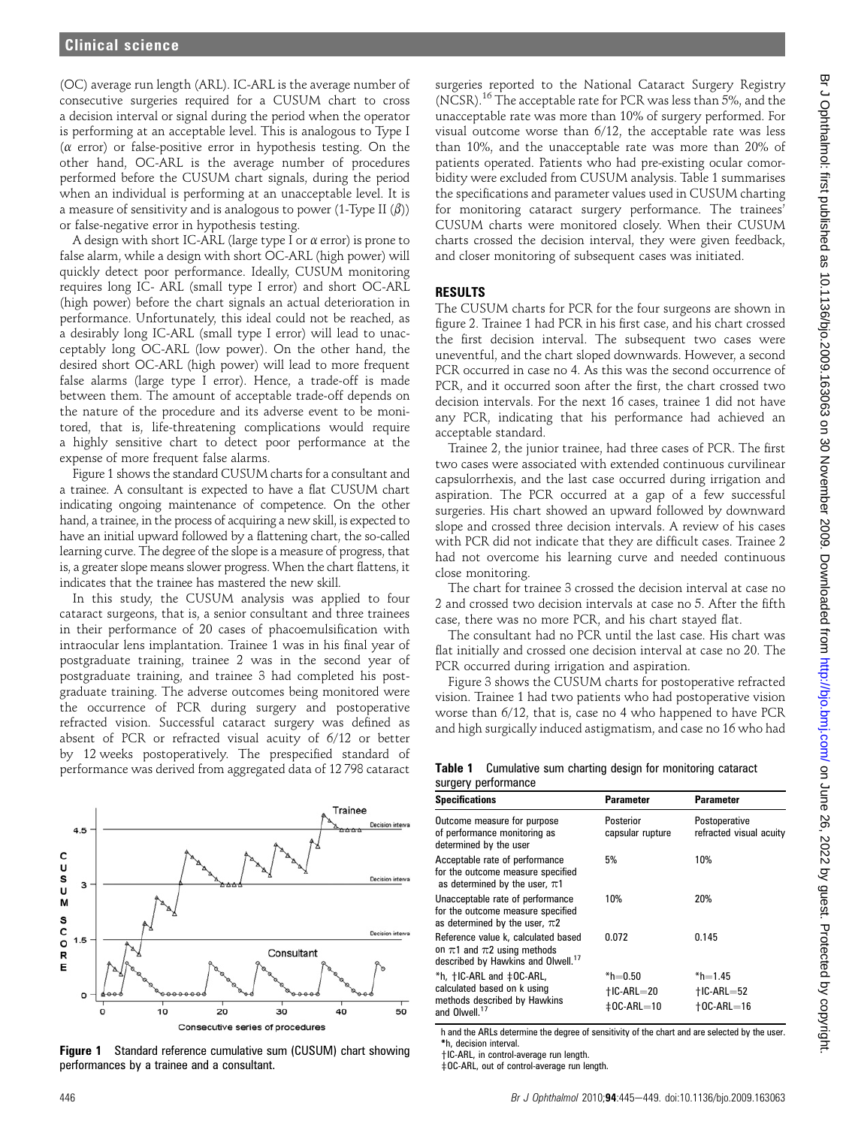(OC) average run length (ARL). IC-ARL is the average number of consecutive surgeries required for a CUSUM chart to cross a decision interval or signal during the period when the operator is performing at an acceptable level. This is analogous to Type I  $(\alpha$  error) or false-positive error in hypothesis testing. On the other hand, OC-ARL is the average number of procedures performed before the CUSUM chart signals, during the period when an individual is performing at an unacceptable level. It is a measure of sensitivity and is analogous to power (1-Type II  $(\beta)$ ) or false-negative error in hypothesis testing.

A design with short IC-ARL (large type I or  $\alpha$  error) is prone to false alarm, while a design with short OC-ARL (high power) will quickly detect poor performance. Ideally, CUSUM monitoring requires long IC- ARL (small type I error) and short OC-ARL (high power) before the chart signals an actual deterioration in performance. Unfortunately, this ideal could not be reached, as a desirably long IC-ARL (small type I error) will lead to unacceptably long OC-ARL (low power). On the other hand, the desired short OC-ARL (high power) will lead to more frequent false alarms (large type I error). Hence, a trade-off is made between them. The amount of acceptable trade-off depends on the nature of the procedure and its adverse event to be monitored, that is, life-threatening complications would require a highly sensitive chart to detect poor performance at the expense of more frequent false alarms.

Figure 1 shows the standard CUSUM charts for a consultant and a trainee. A consultant is expected to have a flat CUSUM chart indicating ongoing maintenance of competence. On the other hand, a trainee, in the process of acquiring a new skill, is expected to have an initial upward followed by a flattening chart, the so-called learning curve. The degree of the slope is a measure of progress, that is, a greater slope means slower progress. When the chart flattens, it indicates that the trainee has mastered the new skill.

In this study, the CUSUM analysis was applied to four cataract surgeons, that is, a senior consultant and three trainees in their performance of 20 cases of phacoemulsification with intraocular lens implantation. Trainee 1 was in his final year of postgraduate training, trainee 2 was in the second year of postgraduate training, and trainee 3 had completed his postgraduate training. The adverse outcomes being monitored were the occurrence of PCR during surgery and postoperative refracted vision. Successful cataract surgery was defined as absent of PCR or refracted visual acuity of 6/12 or better by 12 weeks postoperatively. The prespecified standard of performance was derived from aggregated data of 12 798 cataract



Figure 1 Standard reference cumulative sum (CUSUM) chart showing performances by a trainee and a consultant.

surgeries reported to the National Cataract Surgery Registry (NCSR).16 The acceptable rate for PCR was less than 5%, and the unacceptable rate was more than 10% of surgery performed. For visual outcome worse than 6/12, the acceptable rate was less than 10%, and the unacceptable rate was more than 20% of patients operated. Patients who had pre-existing ocular comorbidity were excluded from CUSUM analysis. Table 1 summarises the specifications and parameter values used in CUSUM charting for monitoring cataract surgery performance. The trainees' CUSUM charts were monitored closely. When their CUSUM charts crossed the decision interval, they were given feedback, and closer monitoring of subsequent cases was initiated.

## RESULTS

The CUSUM charts for PCR for the four surgeons are shown in figure 2. Trainee 1 had PCR in his first case, and his chart crossed the first decision interval. The subsequent two cases were uneventful, and the chart sloped downwards. However, a second PCR occurred in case no 4. As this was the second occurrence of PCR, and it occurred soon after the first, the chart crossed two decision intervals. For the next 16 cases, trainee 1 did not have any PCR, indicating that his performance had achieved an acceptable standard.

Trainee 2, the junior trainee, had three cases of PCR. The first two cases were associated with extended continuous curvilinear capsulorrhexis, and the last case occurred during irrigation and aspiration. The PCR occurred at a gap of a few successful surgeries. His chart showed an upward followed by downward slope and crossed three decision intervals. A review of his cases with PCR did not indicate that they are difficult cases. Trainee 2 had not overcome his learning curve and needed continuous close monitoring.

The chart for trainee 3 crossed the decision interval at case no 2 and crossed two decision intervals at case no 5. After the fifth case, there was no more PCR, and his chart stayed flat.

The consultant had no PCR until the last case. His chart was flat initially and crossed one decision interval at case no 20. The PCR occurred during irrigation and aspiration.

Figure 3 shows the CUSUM charts for postoperative refracted vision. Trainee 1 had two patients who had postoperative vision worse than 6/12, that is, case no 4 who happened to have PCR and high surgically induced astigmatism, and case no 16 who had

| Table 1 | Cumulative sum charting design for monitoring cataract |  |  |  |
|---------|--------------------------------------------------------|--|--|--|
|         | surgery performance                                    |  |  |  |

| --- J -- 1 -- - - - - - - - - - -                                                                                             |                                                      |                                               |  |  |  |  |  |
|-------------------------------------------------------------------------------------------------------------------------------|------------------------------------------------------|-----------------------------------------------|--|--|--|--|--|
| <b>Specifications</b>                                                                                                         | <b>Parameter</b>                                     | <b>Parameter</b>                              |  |  |  |  |  |
| Outcome measure for purpose<br>of performance monitoring as<br>determined by the user                                         | Posterior<br>capsular rupture                        | Postoperative<br>refracted visual acuity      |  |  |  |  |  |
| Acceptable rate of performance<br>for the outcome measure specified<br>as determined by the user, $\pi$ 1                     | 5%                                                   | 10%                                           |  |  |  |  |  |
| Unacceptable rate of performance<br>for the outcome measure specified<br>as determined by the user, $\pi$ 2                   | 10%                                                  | 20%                                           |  |  |  |  |  |
| Reference value k, calculated based<br>on $\pi$ 1 and $\pi$ 2 using methods<br>described by Hawkins and Olwell. <sup>17</sup> | 0.072                                                | 0.145                                         |  |  |  |  |  |
| *h, †IC-ARL and ‡OC-ARL,<br>calculated based on k using<br>methods described by Hawkins<br>and Olwell. <sup>17</sup>          | $*$ h=0.50<br>$+IC-ARL = 20$<br>$\text{\#OC-ARL}=10$ | $*h=1.45$<br>$+IC-ARL = 52$<br>$+OC-ARL = 16$ |  |  |  |  |  |

h and the ARLs determine the degree of sensitivity of the chart and are selected by the user.

\*h, decision interval.

 $\dagger$ IC-ARL, in control-average run length.

zOC-ARL, out of control-average run length.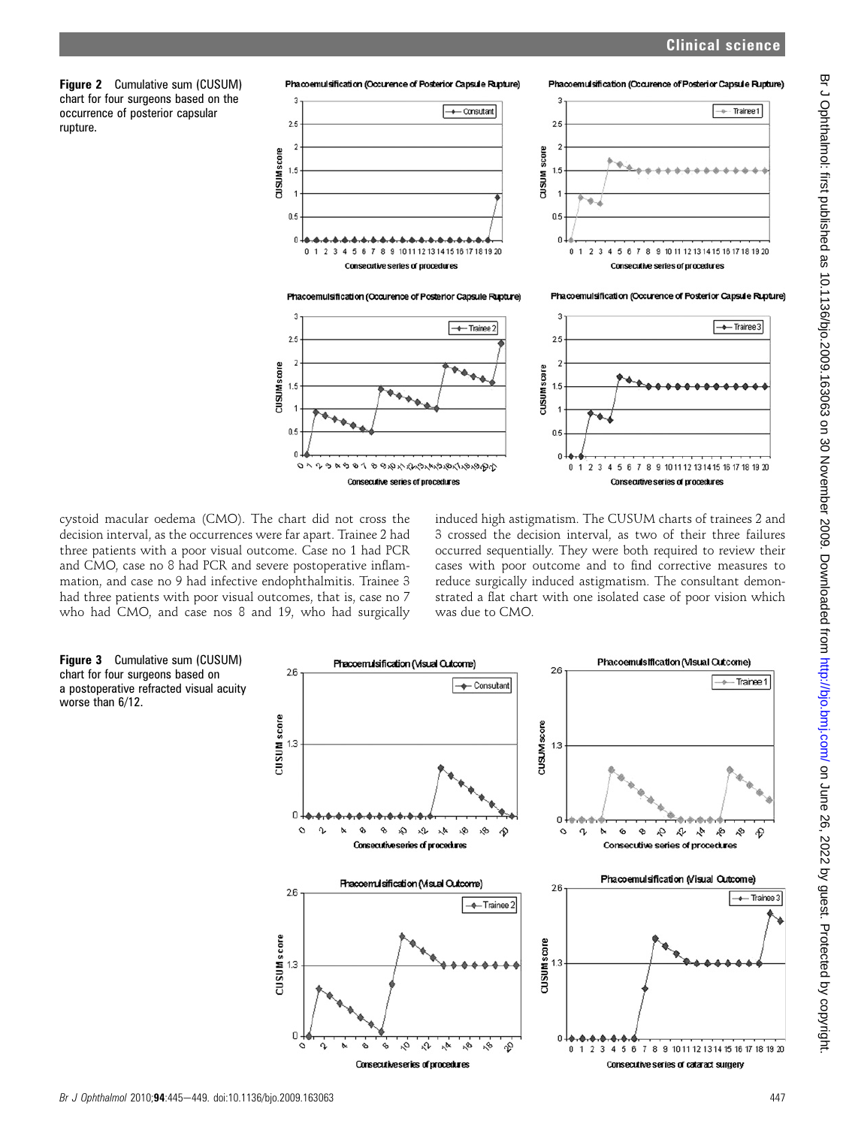Figure 2 Cumulative sum (CUSUM) chart for four surgeons based on the occurrence of posterior capsular rupture.







Phacoemulsification (Occurence of Posterior Capsule Rupture)

Phacoemulsification (Occurence of Posterior Capsule Rupture)



cystoid macular oedema (CMO). The chart did not cross the decision interval, as the occurrences were far apart. Trainee 2 had three patients with a poor visual outcome. Case no 1 had PCR and CMO, case no 8 had PCR and severe postoperative inflammation, and case no 9 had infective endophthalmitis. Trainee 3 had three patients with poor visual outcomes, that is, case no 7 who had CMO, and case nos 8 and 19, who had surgically

induced high astigmatism. The CUSUM charts of trainees 2 and 3 crossed the decision interval, as two of their three failures occurred sequentially. They were both required to review their cases with poor outcome and to find corrective measures to reduce surgically induced astigmatism. The consultant demonstrated a flat chart with one isolated case of poor vision which was due to CMO.

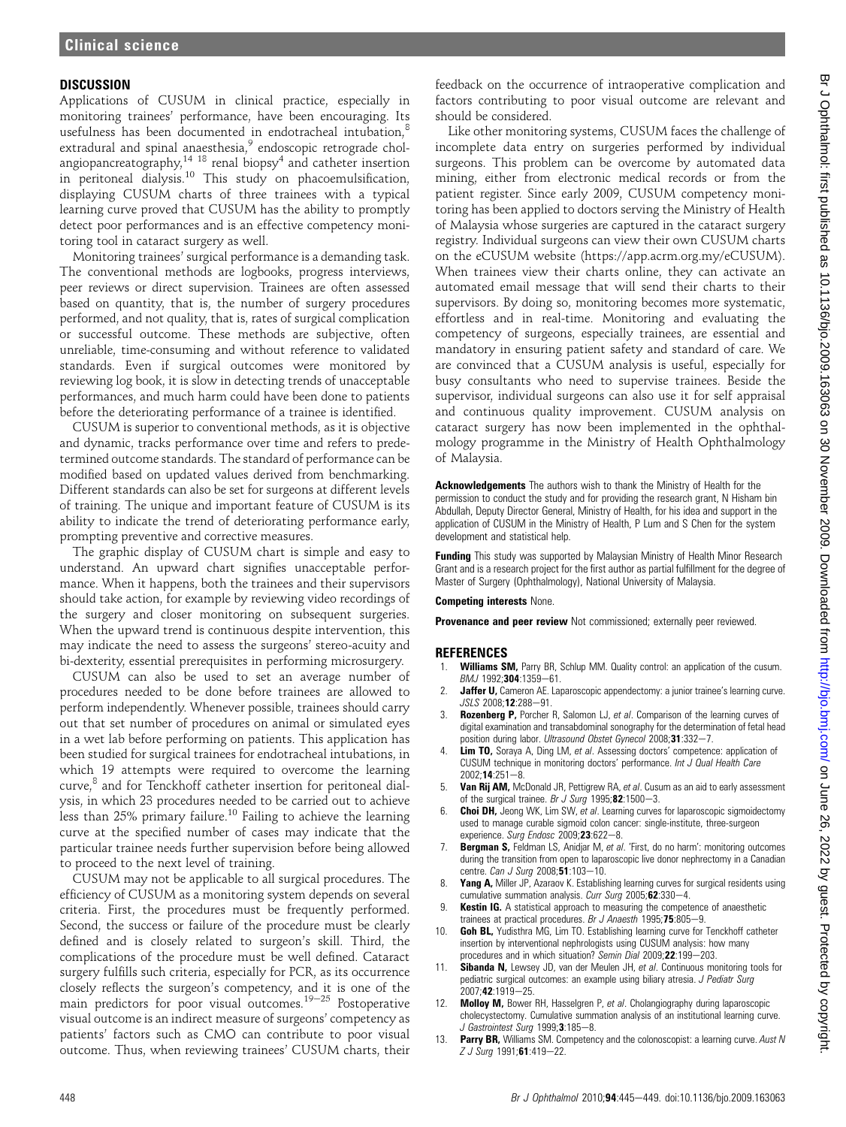#### **DISCUSSION**

Applications of CUSUM in clinical practice, especially in monitoring trainees' performance, have been encouraging. Its usefulness has been documented in endotracheal intubation.<sup>8</sup> extradural and spinal anaesthesia, $9$  endoscopic retrograde cholangiopancreatography, $^{14}$  <sup>18</sup> renal biopsy<sup>4</sup> and catheter insertion in peritoneal dialysis.<sup>10</sup> This study on phacoemulsification, displaying CUSUM charts of three trainees with a typical learning curve proved that CUSUM has the ability to promptly detect poor performances and is an effective competency monitoring tool in cataract surgery as well.

Monitoring trainees' surgical performance is a demanding task. The conventional methods are logbooks, progress interviews, peer reviews or direct supervision. Trainees are often assessed based on quantity, that is, the number of surgery procedures performed, and not quality, that is, rates of surgical complication or successful outcome. These methods are subjective, often unreliable, time-consuming and without reference to validated standards. Even if surgical outcomes were monitored by reviewing log book, it is slow in detecting trends of unacceptable performances, and much harm could have been done to patients before the deteriorating performance of a trainee is identified.

CUSUM is superior to conventional methods, as it is objective and dynamic, tracks performance over time and refers to predetermined outcome standards. The standard of performance can be modified based on updated values derived from benchmarking. Different standards can also be set for surgeons at different levels of training. The unique and important feature of CUSUM is its ability to indicate the trend of deteriorating performance early, prompting preventive and corrective measures.

The graphic display of CUSUM chart is simple and easy to understand. An upward chart signifies unacceptable performance. When it happens, both the trainees and their supervisors should take action, for example by reviewing video recordings of the surgery and closer monitoring on subsequent surgeries. When the upward trend is continuous despite intervention, this may indicate the need to assess the surgeons' stereo-acuity and bi-dexterity, essential prerequisites in performing microsurgery.

CUSUM can also be used to set an average number of procedures needed to be done before trainees are allowed to perform independently. Whenever possible, trainees should carry out that set number of procedures on animal or simulated eyes in a wet lab before performing on patients. This application has been studied for surgical trainees for endotracheal intubations, in which 19 attempts were required to overcome the learning curve,<sup>8</sup> and for Tenckhoff catheter insertion for peritoneal dialysis, in which 23 procedures needed to be carried out to achieve less than  $25\%$  primary failure.<sup>10</sup> Failing to achieve the learning curve at the specified number of cases may indicate that the particular trainee needs further supervision before being allowed to proceed to the next level of training.

CUSUM may not be applicable to all surgical procedures. The efficiency of CUSUM as a monitoring system depends on several criteria. First, the procedures must be frequently performed. Second, the success or failure of the procedure must be clearly defined and is closely related to surgeon's skill. Third, the complications of the procedure must be well defined. Cataract surgery fulfills such criteria, especially for PCR, as its occurrence closely reflects the surgeon's competency, and it is one of the main predictors for poor visual outcomes.<sup>19-25</sup> Postoperative visual outcome is an indirect measure of surgeons' competency as patients' factors such as CMO can contribute to poor visual outcome. Thus, when reviewing trainees' CUSUM charts, their feedback on the occurrence of intraoperative complication and factors contributing to poor visual outcome are relevant and should be considered.

Like other monitoring systems, CUSUM faces the challenge of incomplete data entry on surgeries performed by individual surgeons. This problem can be overcome by automated data mining, either from electronic medical records or from the patient register. Since early 2009, CUSUM competency monitoring has been applied to doctors serving the Ministry of Health of Malaysia whose surgeries are captured in the cataract surgery registry. Individual surgeons can view their own CUSUM charts on the eCUSUM website (https://app.acrm.org.my/eCUSUM). When trainees view their charts online, they can activate an automated email message that will send their charts to their supervisors. By doing so, monitoring becomes more systematic, effortless and in real-time. Monitoring and evaluating the competency of surgeons, especially trainees, are essential and mandatory in ensuring patient safety and standard of care. We are convinced that a CUSUM analysis is useful, especially for busy consultants who need to supervise trainees. Beside the supervisor, individual surgeons can also use it for self appraisal and continuous quality improvement. CUSUM analysis on cataract surgery has now been implemented in the ophthalmology programme in the Ministry of Health Ophthalmology of Malaysia.

Acknowledgements The authors wish to thank the Ministry of Health for the permission to conduct the study and for providing the research grant, N Hisham bin Abdullah, Deputy Director General, Ministry of Health, for his idea and support in the application of CUSUM in the Ministry of Health, P Lum and S Chen for the system development and statistical help.

**Funding** This study was supported by Malaysian Ministry of Health Minor Research Grant and is a research project for the first author as partial fulfillment for the degree of Master of Surgery (Ophthalmology), National University of Malaysia.

#### Competing interests None.

Provenance and peer review Not commissioned; externally peer reviewed.

#### **REFERENCES**

- 1. Williams SM, Parry BR, Schlup MM. Quality control: an application of the cusum. BMJ 1992;304:1359-61.
- 2. **Jaffer U,** Cameron AE. Laparoscopic appendectomy: a junior trainee's learning curve. JSLS 2008;12:288-91.
- 3. **Rozenberg P,** Porcher R, Salomon LJ, et al. Comparison of the learning curves of digital examination and transabdominal sonography for the determination of fetal head position during labor. Ultrasound Obstet Gynecol 2008;31:332-7.
- Lim TO, Soraya A, Ding LM, et al. Assessing doctors' competence: application of CUSUM technique in monitoring doctors' performance. Int J Qual Health Care  $2002:14:251 - 8$
- 5. Van Rij AM, McDonald JR, Pettigrew RA, et al. Cusum as an aid to early assessment of the surgical trainee. Br J Surg  $1995;82:1500-3$ .
- **Choi DH,** Jeong WK, Lim SW, et al. Learning curves for laparoscopic sigmoidectomy used to manage curable sigmoid colon cancer: single-institute, three-surgeon experience. Surg Endosc  $2009;23:622-8$ .
- Bergman S, Feldman LS, Anidjar M, et al. 'First, do no harm': monitoring outcomes during the transition from open to laparoscopic live donor nephrectomy in a Canadian centre. Can J Surg 2008;51:103-10.
- Yang A, Miller JP, Azaraov K. Establishing learning curves for surgical residents using cumulative summation analysis. Curr Surg 2005;62:330-4.
- Kestin IG. A statistical approach to measuring the competence of anaesthetic trainees at practical procedures. Br J Anaesth  $1995;75:805-9$ .
- 10. **Goh BL,** Yudisthra MG, Lim TO. Establishing learning curve for Tenckhoff catheter insertion by interventional nephrologists using CUSUM analysis: how many procedures and in which situation? Semin Dial 2009;22:199-203.
- 11. Sibanda N, Lewsey JD, van der Meulen JH, et al. Continuous monitoring tools for pediatric surgical outcomes: an example using biliary atresia. J Pediatr Surg 2007:42:1919-25
- **Molloy M,** Bower RH, Hasselgren P, et al. Cholangiography during laparoscopic cholecystectomy. Cumulative summation analysis of an institutional learning curve. J Gastrointest Surg 1999;3:185-8.
- 13. Parry BR, Williams SM. Competency and the colonoscopist: a learning curve. Aust N  $Z J$  Surg 1991; 61:419-22.